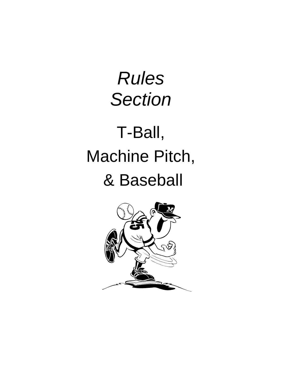Rules **Section** 

# T-Ball, Machine Pitch, & Baseball

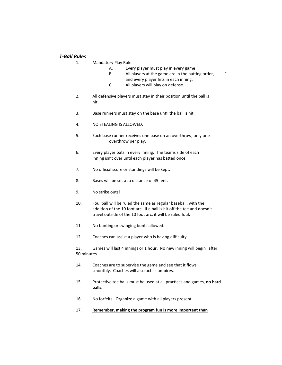## *T-Ball Rules*

- $\mathsf{p}$ is for children and not adults. In the children and not adults. In the children and not adults. 1. Mandatory Play Rule:
	- A. Every player must play in every game!
- I will not argue the sports of the sports of  $\mathbb{R}^n$  and  $\mathbb{R}^n$ . B. All players at the game are in the batting order, and every player hits in each inning.
	- C. All players will play on defense.
- 2. All defensive players must stay in their position until the ball is hit.
	- 3. Base runners must stay on the base until the ball is hit.
	- 4. NO STEALING IS ALLOWED.
	- 5. Each base runner receives one base on an overthrow, only one overthrow per play.
	- 6. Every player bats in every inning. The teams side of each inning isn't over until each player has batted once.
	- 7. No official score or standings will be kept.
	- 8. Bases will be set at a distance of 45 feet.
	- 9. No strike outs!
	- 10. Foul ball will be ruled the same as regular baseball, with the addition of the 10 foot arc. If a ball is hit off the tee and doesn't travel outside of the 10 foot arc, it will be ruled foul.
	- 11. No bunting or swinging bunts allowed.
	- 12. Coaches can assist a player who is having difficulty.

13. Games will last 4 innings or 1 hour. No new inning will begin after 50 minutes.

- 14. Coaches are to supervise the game and see that it flows smoothly. Coaches will also act as umpires.
- 15. Protective tee balls must be used at all practices and games, **no hard balls.**
- 16. No forfeits. Organize a game with all players present.
- 17. **Remember, making the program fun is more important than**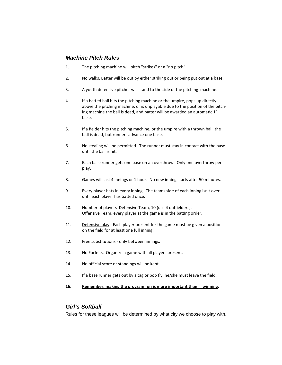# **Machine Pitch Rules**

- 1. The pitching machine will pitch "strikes" or a "no pitch".
- 2. No walks. Batter will be out by either striking out or being put out at a base.
- 3. A youth defensive pitcher will stand to the side of the pitching machine.
- 4. If a batted ball hits the pitching machine or the umpire, pops up directly above the pitching machine, or is unplayable due to the position of the pitching machine the ball is dead, and batter will be awarded an automatic  $1<sup>st</sup>$ base.
- 5. If a fielder hits the pitching machine, or the umpire with a thrown ball, the ball is dead, but runners advance one base.
- 6. No stealing will be permitted. The runner must stay in contact with the base until the ball is hit.
- 7. Each base runner gets one base on an overthrow. Only one overthrow per play.
- 8. Games will last 4 innings or 1 hour. No new inning starts after 50 minutes.
- 9. Every player bats in every inning. The teams side of each inning isn't over until each player has batted once.
- 10. Number of players Defensive Team, 10 (use 4 outfielders). Offensive Team, every player at the game is in the batting order.
- 11. Defensive play Each player present for the game must be given a position on the field for at least one full inning.
- 12. Free substitutions only between innings.
- 13. No Forfeits. Organize a game with all players present.
- 14. No official score or standings will be kept.
- 15. If a base runner gets out by a tag or pop fly, he/she must leave the field.

### **16. Remember, making the program fun is more important than winning.**

## **Girl's Softball**

Rules for these leagues will be determined by what city we choose to play with.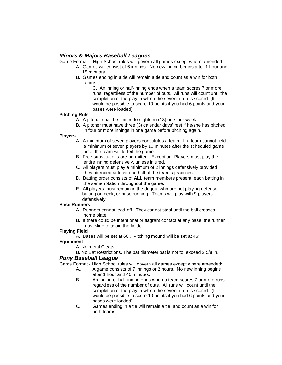## **Minors & Majors Baseball Leagues**

Game Format – High School rules will govern all games except where amended:

- A. Games will consist of 6 innings. No new inning begins after 1 hour and 15 minutes.
- B. Games ending in a tie will remain a tie and count as a win for both teams.

 C. An inning or half-inning ends when a team scores 7 or more runs regardless of the number of outs. All runs will count until the completion of the play in which the seventh run is scored. (It would be possible to score 10 points if you had 6 points and your bases were loaded).

## **Pitching Rule**

- A. A pitcher shall be limited to eighteen (18) outs per week.
	- B. A pitcher must have three (3) calendar days' rest if he/she has pitched in four or more innings in one game before pitching again.

## **Players**

- A. A minimum of seven players constitutes a team. If a team cannot field a minimum of seven players by 10 minutes after the scheduled game time, the team will forfeit the game.
- B. Free substitutions are permitted. Exception: Players must play the entire inning defensively, unless injured.
- C. All players must play a minimum of 2 innings defensively provided they attended at least one half of the team's practices.
- D. Batting order consists of **ALL** team members present, each batting in the same rotation throughout the game.
- E. All players must remain in the dugout who are not playing defense, batting on deck, or base running. Teams will play with 9 players defensively.

### **Base Runners**

- A. Runners cannot lead-off. They cannot steal until the ball crosses home plate.
- B. If there could be intentional or flagrant contact at any base, the runner must slide to avoid the fielder.

## **Playing Field**

A. Bases will be set at 60'. Pitching mound will be set at 46'.

## **Equipment**

- A. No metal Cleats
- B. No Bat Restrictions. The bat diameter bat is not to exceed 2 5/8 in.

## **Pony Baseball League**

Game Format - High School rules will govern all games except where amended:

- A.. A game consists of 7 innings or 2 hours. No new inning begins after 1 hour and 40 minutes.
- B. An inning or half-inning ends when a team scores 7 or more runs regardless of the number of outs. All runs will count until the completion of the play in which the seventh run is scored. (It would be possible to score 10 points if you had 6 points and your bases were loaded).
- C. Games ending in a tie will remain a tie, and count as a win for both teams.